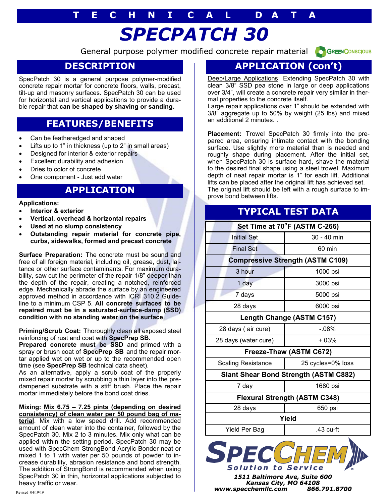## **T E C H N I C A L D A T A**

# *SPECPATCH 30*

General purpose polymer modified concrete repair material



#### **DESCRIPTION**

SpecPatch 30 is a general purpose polymer-modified concrete repair mortar for concrete floors, walls, precast, tilt-up and masonry surfaces. SpecPatch 30 can be used for horizontal and vertical applications to provide a durable repair that **can be shaped by shaving or sanding.**

### **FEATURES/BENEFITS**

- Can be featheredged and shaped
- Lifts up to 1" in thickness (up to 2" in small areas)
- Designed for interior & exterior repairs
- Excellent durability and adhesion
- Dries to color of concrete
- One component Just add water

#### **APPLICATION**

#### **Applications:**

- **Interior & exterior**
- **Vertical, overhead & horizontal repairs**
- **Used at no slump consistency**
- **Outstanding repair material for concrete pipe, curbs, sidewalks, formed and precast concrete**

**Surface Preparation:** The concrete must be sound and free of all foreign material, including oil, grease, dust, laitance or other surface contaminants. For maximum durability, saw cut the perimeter of the repair 1/8" deeper than the depth of the repair, creating a notched, reinforced edge. Mechanically abrade the surface by an engineered approved method in accordance with ICRI 310.2 Guideline to a minimum CSP 5. **All concrete surfaces to be repaired must be in a saturated-surface-damp (SSD) condition with no standing water on the surface**.

**Priming/Scrub Coat:** Thoroughly clean all exposed steel reinforcing of rust and coat with **SpecPrep SB.** 

Prepared concrete must be SSD and primed with a spray or brush coat of **SpecPrep SB** and the repair mortar applied wet on wet or up to the recommended open time (see **SpecPrep SB** technical data sheet).

As an alternative, apply a scrub coat of the properly mixed repair mortar by scrubbing a thin layer into the predampened substrate with a stiff brush. Place the repair mortar immediately before the bond coat dries.

#### **Mixing: Mix 6.75 – 7.25 pints (depending on desired consistency) of clean water per 50 pound bag of ma-**

**terial**. Mix with a low speed drill. Add recommended amount of clean water into the container, followed by the SpecPatch 30. Mix 2 to 3 minutes. Mix only what can be applied within the setting period. SpecPatch 30 may be used with SpecChem StrongBond Acrylic Bonder neat or mixed 1 to 1 with water per 50 pounds of powder to increase durability, abrasion resistance and bond strength. The addition of StrongBond is recommended when using SpecPatch 30 in thin, horizontal applications subjected to heavy traffic or wear.

### **APPLICATION (con't)**

Deep/Large Applications: Extending SpecPatch 30 with clean 3/8" SSD pea stone in large or deep applications over 3/4", will create a concrete repair very similar in thermal properties to the concrete itself.

Large repair applications over 1" should be extended with 3/8" aggregate up to 50% by weight (25 lbs) and mixed an additional 2 minutes. .

**Placement:** Trowel SpecPatch 30 firmly into the prepared area, ensuring intimate contact with the bonding surface. Use slightly more material than is needed and roughly shape during placement. After the initial set, when SpecPatch 30 is surface hard, shave the material to the desired final shape using a steel trowel. Maximum depth of neat repair mortar is 1" for each lift. Additional lifts can be placed after the original lift has achieved set. The original lift should be left with a rough surface to improve bond between lifts.

#### **TYPICAL TEST DATA**

| Set Time at 70°F (ASTM C-266)                |                   |
|----------------------------------------------|-------------------|
| <b>Initial Set</b>                           | $30 - 40$ min     |
| <b>Final Set</b>                             | 60 min            |
| <b>Compressive Strength (ASTM C109)</b>      |                   |
| 3 hour                                       | 1000 psi          |
| 1 day                                        | 3000 psi          |
| 7 days                                       | 5000 psi          |
| 28 days                                      | 6000 psi          |
| Length Change (ASTM C157)                    |                   |
| 28 days (air cure)                           | $-.08%$           |
| 28 days (water cure)                         | $+.03\%$          |
| Freeze-Thaw (ASTM C672)                      |                   |
| Scaling Resistance                           | 25 cycles=0% loss |
| <b>Slant Shear Bond Strength (ASTM C882)</b> |                   |
| 7 day                                        | 1680 psi          |
| <b>Flexural Strength (ASTM C348)</b>         |                   |
| 28 days                                      | 650 psi           |
| Yield                                        |                   |
| Yield Per Bag                                | $.43$ cu-ft       |



*Kansas City, MO 64108 www.specchemllc.com 866.791.8700*